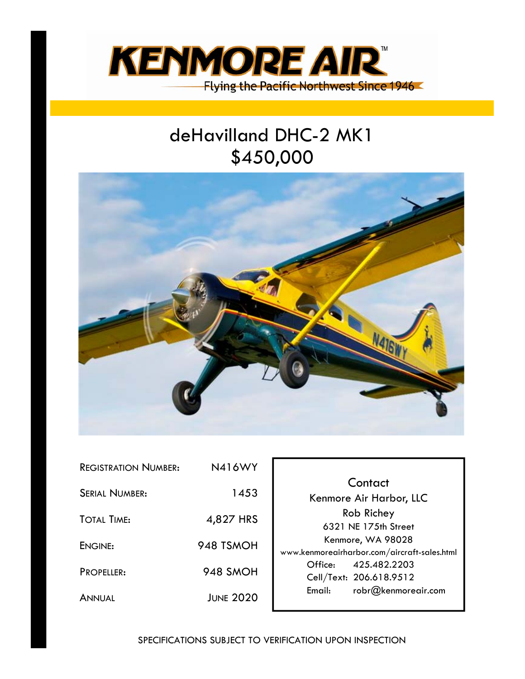

# deHavilland DHC-2 MK1 \$450,000



| <b>REGISTRATION NUMBER:</b> | N416WY           |
|-----------------------------|------------------|
| <b>SERIAL NUMBER:</b>       | 1453             |
| TOTAL TIME:                 | 4,827 HRS        |
| ENGINE:                     | 948 TSMOH        |
| <b>PROPELLER:</b>           | <b>948 SMOH</b>  |
| <b>ANNUAL</b>               | <b>JUNE 2020</b> |

**Contact** Kenmore Air Harbor, LLC Rob Richey 6321 NE 175th Street Kenmore, WA 98028 www.kenmoreairharbor.com/aircraft-sales.html Office: 425.482.2203 Cell/Text: 206.618.9512 Email: robr@kenmoreair.com

SPECIFICATIONS SUBJECT TO VERIFICATION UPON INSPECTION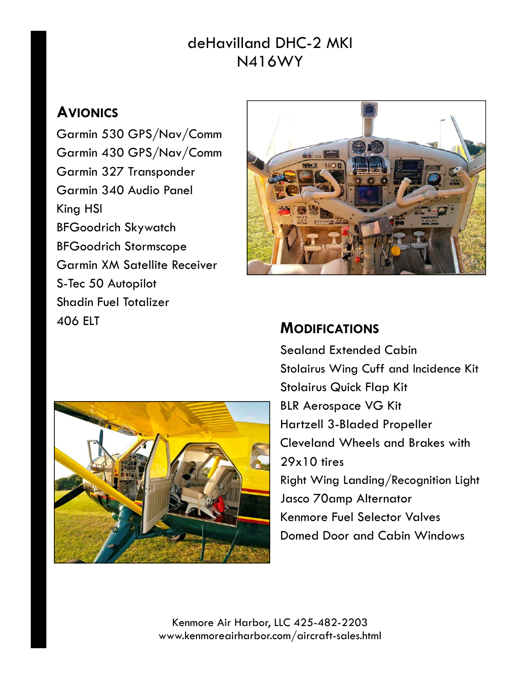### deHavilland DHC-2 MKI N416WY

### **AVIONICS**

Garmin 530 GPS/Nav/Comm Garmin 430 GPS/Nav/Comm Garmin 327 Transponder Garmin 340 Audio Panel King HSI BFGoodrich Skywatch BFGoodrich Stormscope Garmin XM Satellite Receiver S-Tec 50 Autopilot Shadin Fuel Totalizer 406 ELT **MODIFICATIONS**





Sealand Extended Cabin Stolairus Wing Cuff and Incidence Kit Stolairus Quick Flap Kit BLR Aerospace VG Kit Hartzell 3-Bladed Propeller Cleveland Wheels and Brakes with 29x10 tires Right Wing Landing/Recognition Light Jasco 70amp Alternator Kenmore Fuel Selector Valves Domed Door and Cabin Windows

Kenmore Air Harbor, LLC 425-482-2203 www.kenmoreairharbor.com/aircraft-sales.html